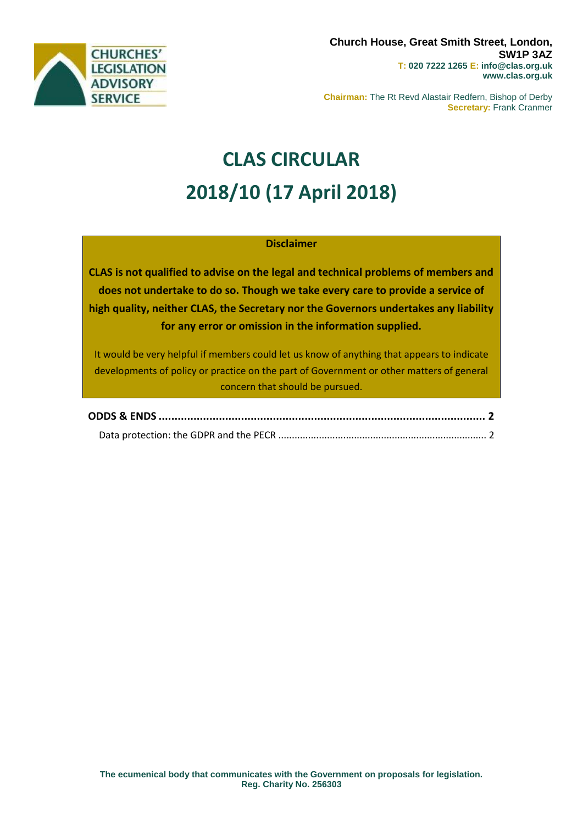

**Chairman:** The Rt Revd Alastair Redfern, Bishop of Derby **Secretary:** Frank Cranmer

# **CLAS CIRCULAR 2018/10 (17 April 2018)**

## **Disclaimer**

**CLAS is not qualified to advise on the legal and technical problems of members and does not undertake to do so. Though we take every care to provide a service of high quality, neither CLAS, the Secretary nor the Governors undertakes any liability for any error or omission in the information supplied.**

It would be very helpful if members could let us know of anything that appears to indicate developments of policy or practice on the part of Government or other matters of general concern that should be pursued.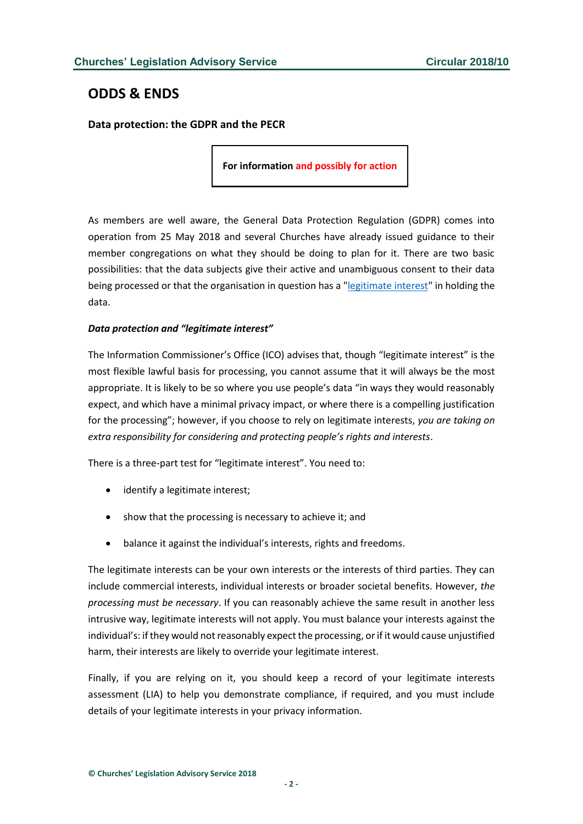## <span id="page-1-0"></span>**ODDS & ENDS**

<span id="page-1-1"></span>**Data protection: the GDPR and the PECR**

**For information and possibly for action**

As members are well aware, the General Data Protection Regulation (GDPR) comes into operation from 25 May 2018 and several Churches have already issued guidance to their member congregations on what they should be doing to plan for it. There are two basic possibilities: that the data subjects give their active and unambiguous consent to their data being processed or that the organisation in question has a ["legitimate interest"](https://ico.org.uk/for-organisations/guide-to-the-general-data-protection-regulation-gdpr/lawful-basis-for-processing/legitimate-interests/) in holding the data.

### *Data protection and "legitimate interest"*

The Information Commissioner's Office (ICO) advises that, though "legitimate interest" is the most flexible lawful basis for processing, you cannot assume that it will always be the most appropriate. It is likely to be so where you use people's data "in ways they would reasonably expect, and which have a minimal privacy impact, or where there is a compelling justification for the processing"; however, if you choose to rely on legitimate interests, *you are taking on extra responsibility for considering and protecting people's rights and interests*.

There is a three-part test for "legitimate interest". You need to:

- identify a legitimate interest;
- show that the processing is necessary to achieve it; and
- balance it against the individual's interests, rights and freedoms.

The legitimate interests can be your own interests or the interests of third parties. They can include commercial interests, individual interests or broader societal benefits. However, *the processing must be necessary*. If you can reasonably achieve the same result in another less intrusive way, legitimate interests will not apply. You must balance your interests against the individual's: if they would not reasonably expect the processing, or if it would cause unjustified harm, their interests are likely to override your legitimate interest.

Finally, if you are relying on it, you should keep a record of your legitimate interests assessment (LIA) to help you demonstrate compliance, if required, and you must include details of your legitimate interests in your privacy information.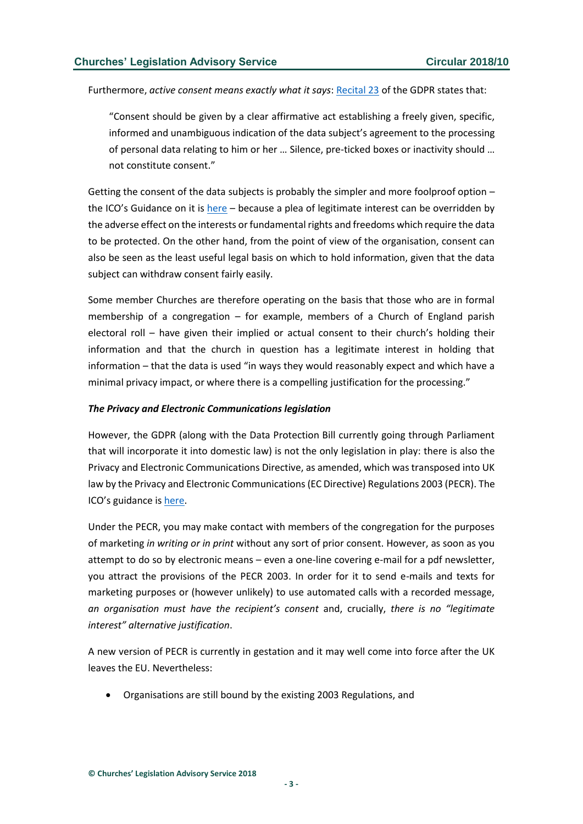Furthermore, *active consent means exactly what it says*[: Recital 23](https://gdpr-info.eu/recitals/no-32/) of the GDPR states that:

"Consent should be given by a clear affirmative act establishing a freely given, specific, informed and unambiguous indication of the data subject's agreement to the processing of personal data relating to him or her … Silence, pre-ticked boxes or inactivity should … not constitute consent."

Getting the consent of the data subjects is probably the simpler and more foolproof option – the ICO's Guidance on it is [here](https://ico.org.uk/for-organisations/guide-to-the-general-data-protection-regulation-gdpr/lawful-basis-for-processing/consent/) – because a plea of legitimate interest can be overridden by the adverse effect on the interests or fundamental rights and freedoms which require the data to be protected. On the other hand, from the point of view of the organisation, consent can also be seen as the least useful legal basis on which to hold information, given that the data subject can withdraw consent fairly easily.

Some member Churches are therefore operating on the basis that those who are in formal membership of a congregation – for example, members of a Church of England parish electoral roll – have given their implied or actual consent to their church's holding their information and that the church in question has a legitimate interest in holding that information – that the data is used "in ways they would reasonably expect and which have a minimal privacy impact, or where there is a compelling justification for the processing."

#### *The Privacy and Electronic Communications legislation*

However, the GDPR (along with the Data Protection Bill currently going through Parliament that will incorporate it into domestic law) is not the only legislation in play: there is also the Privacy and Electronic Communications Directive, as amended, which was transposed into UK law by the Privacy and Electronic Communications (EC Directive) Regulations 2003 (PECR). The ICO's guidance is [here.](https://ico.org.uk/for-organisations/guide-to-pecr/what-are-pecr/)

Under the PECR, you may make contact with members of the congregation for the purposes of marketing *in writing or in print* without any sort of prior consent. However, as soon as you attempt to do so by electronic means – even a one-line covering e-mail for a pdf newsletter, you attract the provisions of the PECR 2003. In order for it to send e-mails and texts for marketing purposes or (however unlikely) to use automated calls with a recorded message, *an organisation must have the recipient's consent* and, crucially, *there is no "legitimate interest" alternative justification*.

A new version of PECR is currently in gestation and it may well come into force after the UK leaves the EU. Nevertheless:

• Organisations are still bound by the existing 2003 Regulations, and